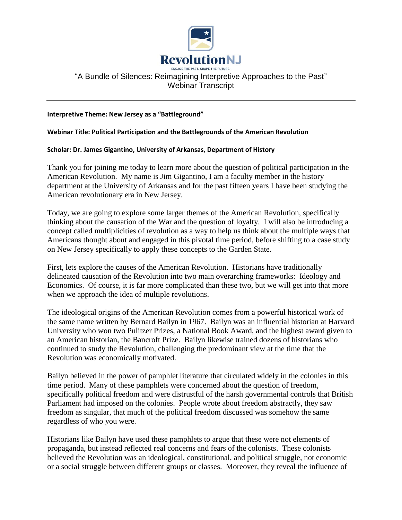

## "A Bundle of Silences: Reimagining Interpretive Approaches to the Past" Webinar Transcript

## **Interpretive Theme: New Jersey as a "Battleground"**

## **Webinar Title: Political Participation and the Battlegrounds of the American Revolution**

## **Scholar: Dr. James Gigantino, University of Arkansas, Department of History**

Thank you for joining me today to learn more about the question of political participation in the American Revolution. My name is Jim Gigantino, I am a faculty member in the history department at the University of Arkansas and for the past fifteen years I have been studying the American revolutionary era in New Jersey.

Today, we are going to explore some larger themes of the American Revolution, specifically thinking about the causation of the War and the question of loyalty. I will also be introducing a concept called multiplicities of revolution as a way to help us think about the multiple ways that Americans thought about and engaged in this pivotal time period, before shifting to a case study on New Jersey specifically to apply these concepts to the Garden State.

First, lets explore the causes of the American Revolution. Historians have traditionally delineated causation of the Revolution into two main overarching frameworks: Ideology and Economics. Of course, it is far more complicated than these two, but we will get into that more when we approach the idea of multiple revolutions.

The ideological origins of the American Revolution comes from a powerful historical work of the same name written by Bernard Bailyn in 1967. Bailyn was an influential historian at Harvard University who won two Pulitzer Prizes, a National Book Award, and the highest award given to an American historian, the Bancroft Prize. Bailyn likewise trained dozens of historians who continued to study the Revolution, challenging the predominant view at the time that the Revolution was economically motivated.

Bailyn believed in the power of pamphlet literature that circulated widely in the colonies in this time period. Many of these pamphlets were concerned about the question of freedom, specifically political freedom and were distrustful of the harsh governmental controls that British Parliament had imposed on the colonies. People wrote about freedom abstractly, they saw freedom as singular, that much of the political freedom discussed was somehow the same regardless of who you were.

Historians like Bailyn have used these pamphlets to argue that these were not elements of propaganda, but instead reflected real concerns and fears of the colonists. These colonists believed the Revolution was an ideological, constitutional, and political struggle, not economic or a social struggle between different groups or classes. Moreover, they reveal the influence of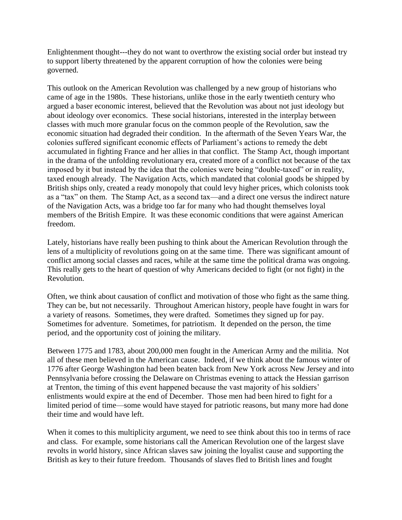Enlightenment thought---they do not want to overthrow the existing social order but instead try to support liberty threatened by the apparent corruption of how the colonies were being governed.

This outlook on the American Revolution was challenged by a new group of historians who came of age in the 1980s. These historians, unlike those in the early twentieth century who argued a baser economic interest, believed that the Revolution was about not just ideology but about ideology over economics. These social historians, interested in the interplay between classes with much more granular focus on the common people of the Revolution, saw the economic situation had degraded their condition. In the aftermath of the Seven Years War, the colonies suffered significant economic effects of Parliament's actions to remedy the debt accumulated in fighting France and her allies in that conflict. The Stamp Act, though important in the drama of the unfolding revolutionary era, created more of a conflict not because of the tax imposed by it but instead by the idea that the colonies were being "double-taxed" or in reality, taxed enough already. The Navigation Acts, which mandated that colonial goods be shipped by British ships only, created a ready monopoly that could levy higher prices, which colonists took as a "tax" on them. The Stamp Act, as a second tax—and a direct one versus the indirect nature of the Navigation Acts, was a bridge too far for many who had thought themselves loyal members of the British Empire. It was these economic conditions that were against American freedom.

Lately, historians have really been pushing to think about the American Revolution through the lens of a multiplicity of revolutions going on at the same time. There was significant amount of conflict among social classes and races, while at the same time the political drama was ongoing. This really gets to the heart of question of why Americans decided to fight (or not fight) in the Revolution.

Often, we think about causation of conflict and motivation of those who fight as the same thing. They can be, but not necessarily. Throughout American history, people have fought in wars for a variety of reasons. Sometimes, they were drafted. Sometimes they signed up for pay. Sometimes for adventure. Sometimes, for patriotism. It depended on the person, the time period, and the opportunity cost of joining the military.

Between 1775 and 1783, about 200,000 men fought in the American Army and the militia. Not all of these men believed in the American cause. Indeed, if we think about the famous winter of 1776 after George Washington had been beaten back from New York across New Jersey and into Pennsylvania before crossing the Delaware on Christmas evening to attack the Hessian garrison at Trenton, the timing of this event happened because the vast majority of his soldiers' enlistments would expire at the end of December. Those men had been hired to fight for a limited period of time—some would have stayed for patriotic reasons, but many more had done their time and would have left.

When it comes to this multiplicity argument, we need to see think about this too in terms of race and class. For example, some historians call the American Revolution one of the largest slave revolts in world history, since African slaves saw joining the loyalist cause and supporting the British as key to their future freedom. Thousands of slaves fled to British lines and fought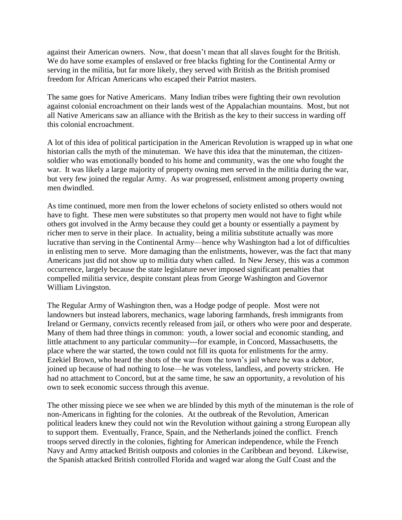against their American owners. Now, that doesn't mean that all slaves fought for the British. We do have some examples of enslaved or free blacks fighting for the Continental Army or serving in the militia, but far more likely, they served with British as the British promised freedom for African Americans who escaped their Patriot masters.

The same goes for Native Americans. Many Indian tribes were fighting their own revolution against colonial encroachment on their lands west of the Appalachian mountains. Most, but not all Native Americans saw an alliance with the British as the key to their success in warding off this colonial encroachment.

A lot of this idea of political participation in the American Revolution is wrapped up in what one historian calls the myth of the minuteman. We have this idea that the minuteman, the citizensoldier who was emotionally bonded to his home and community, was the one who fought the war. It was likely a large majority of property owning men served in the militia during the war, but very few joined the regular Army. As war progressed, enlistment among property owning men dwindled.

As time continued, more men from the lower echelons of society enlisted so others would not have to fight. These men were substitutes so that property men would not have to fight while others got involved in the Army because they could get a bounty or essentially a payment by richer men to serve in their place. In actuality, being a militia substitute actually was more lucrative than serving in the Continental Army—hence why Washington had a lot of difficulties in enlisting men to serve. More damaging than the enlistments, however, was the fact that many Americans just did not show up to militia duty when called. In New Jersey, this was a common occurrence, largely because the state legislature never imposed significant penalties that compelled militia service, despite constant pleas from George Washington and Governor William Livingston.

The Regular Army of Washington then, was a Hodge podge of people. Most were not landowners but instead laborers, mechanics, wage laboring farmhands, fresh immigrants from Ireland or Germany, convicts recently released from jail, or others who were poor and desperate. Many of them had three things in common: youth, a lower social and economic standing, and little attachment to any particular community---for example, in Concord, Massachusetts, the place where the war started, the town could not fill its quota for enlistments for the army. Ezekiel Brown, who heard the shots of the war from the town's jail where he was a debtor, joined up because of had nothing to lose—he was voteless, landless, and poverty stricken. He had no attachment to Concord, but at the same time, he saw an opportunity, a revolution of his own to seek economic success through this avenue.

The other missing piece we see when we are blinded by this myth of the minuteman is the role of non-Americans in fighting for the colonies. At the outbreak of the Revolution, American political leaders knew they could not win the Revolution without gaining a strong European ally to support them. Eventually, France, Spain, and the Netherlands joined the conflict. French troops served directly in the colonies, fighting for American independence, while the French Navy and Army attacked British outposts and colonies in the Caribbean and beyond. Likewise, the Spanish attacked British controlled Florida and waged war along the Gulf Coast and the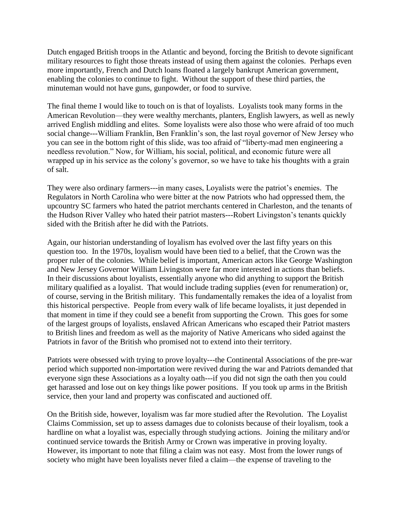Dutch engaged British troops in the Atlantic and beyond, forcing the British to devote significant military resources to fight those threats instead of using them against the colonies. Perhaps even more importantly, French and Dutch loans floated a largely bankrupt American government, enabling the colonies to continue to fight. Without the support of these third parties, the minuteman would not have guns, gunpowder, or food to survive.

The final theme I would like to touch on is that of loyalists. Loyalists took many forms in the American Revolution—they were wealthy merchants, planters, English lawyers, as well as newly arrived English middling and elites. Some loyalists were also those who were afraid of too much social change---William Franklin, Ben Franklin's son, the last royal governor of New Jersey who you can see in the bottom right of this slide, was too afraid of "liberty-mad men engineering a needless revolution." Now, for William, his social, political, and economic future were all wrapped up in his service as the colony's governor, so we have to take his thoughts with a grain of salt.

They were also ordinary farmers---in many cases, Loyalists were the patriot's enemies. The Regulators in North Carolina who were bitter at the now Patriots who had oppressed them, the upcountry SC farmers who hated the patriot merchants centered in Charleston, and the tenants of the Hudson River Valley who hated their patriot masters---Robert Livingston's tenants quickly sided with the British after he did with the Patriots.

Again, our historian understanding of loyalism has evolved over the last fifty years on this question too. In the 1970s, loyalism would have been tied to a belief, that the Crown was the proper ruler of the colonies. While belief is important, American actors like George Washington and New Jersey Governor William Livingston were far more interested in actions than beliefs. In their discussions about loyalists, essentially anyone who did anything to support the British military qualified as a loyalist. That would include trading supplies (even for renumeration) or, of course, serving in the British military. This fundamentally remakes the idea of a loyalist from this historical perspective. People from every walk of life became loyalists, it just depended in that moment in time if they could see a benefit from supporting the Crown. This goes for some of the largest groups of loyalists, enslaved African Americans who escaped their Patriot masters to British lines and freedom as well as the majority of Native Americans who sided against the Patriots in favor of the British who promised not to extend into their territory.

Patriots were obsessed with trying to prove loyalty---the Continental Associations of the pre-war period which supported non-importation were revived during the war and Patriots demanded that everyone sign these Associations as a loyalty oath---if you did not sign the oath then you could get harassed and lose out on key things like power positions. If you took up arms in the British service, then your land and property was confiscated and auctioned off.

On the British side, however, loyalism was far more studied after the Revolution. The Loyalist Claims Commission, set up to assess damages due to colonists because of their loyalism, took a hardline on what a loyalist was, especially through studying actions. Joining the military and/or continued service towards the British Army or Crown was imperative in proving loyalty. However, its important to note that filing a claim was not easy. Most from the lower rungs of society who might have been loyalists never filed a claim—the expense of traveling to the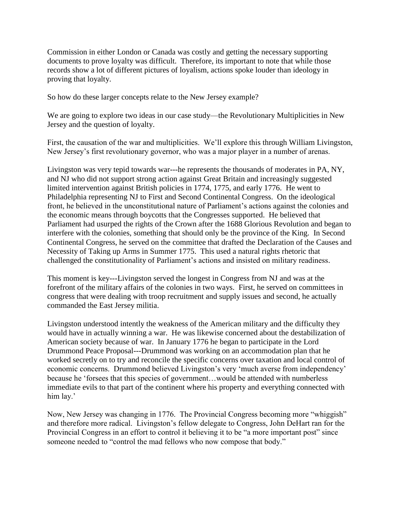Commission in either London or Canada was costly and getting the necessary supporting documents to prove loyalty was difficult. Therefore, its important to note that while those records show a lot of different pictures of loyalism, actions spoke louder than ideology in proving that loyalty.

So how do these larger concepts relate to the New Jersey example?

We are going to explore two ideas in our case study—the Revolutionary Multiplicities in New Jersey and the question of loyalty.

First, the causation of the war and multiplicities. We'll explore this through William Livingston, New Jersey's first revolutionary governor, who was a major player in a number of arenas.

Livingston was very tepid towards war---he represents the thousands of moderates in PA, NY, and NJ who did not support strong action against Great Britain and increasingly suggested limited intervention against British policies in 1774, 1775, and early 1776. He went to Philadelphia representing NJ to First and Second Continental Congress. On the ideological front, he believed in the unconstitutional nature of Parliament's actions against the colonies and the economic means through boycotts that the Congresses supported. He believed that Parliament had usurped the rights of the Crown after the 1688 Glorious Revolution and began to interfere with the colonies, something that should only be the province of the King. In Second Continental Congress, he served on the committee that drafted the Declaration of the Causes and Necessity of Taking up Arms in Summer 1775. This used a natural rights rhetoric that challenged the constitutionality of Parliament's actions and insisted on military readiness.

This moment is key---Livingston served the longest in Congress from NJ and was at the forefront of the military affairs of the colonies in two ways. First, he served on committees in congress that were dealing with troop recruitment and supply issues and second, he actually commanded the East Jersey militia.

Livingston understood intently the weakness of the American military and the difficulty they would have in actually winning a war. He was likewise concerned about the destabilization of American society because of war. In January 1776 he began to participate in the Lord Drummond Peace Proposal---Drummond was working on an accommodation plan that he worked secretly on to try and reconcile the specific concerns over taxation and local control of economic concerns. Drummond believed Livingston's very 'much averse from independency' because he 'forsees that this species of government…would be attended with numberless immediate evils to that part of the continent where his property and everything connected with him lay.'

Now, New Jersey was changing in 1776. The Provincial Congress becoming more "whiggish" and therefore more radical. Livingston's fellow delegate to Congress, John DeHart ran for the Provincial Congress in an effort to control it believing it to be "a more important post" since someone needed to "control the mad fellows who now compose that body."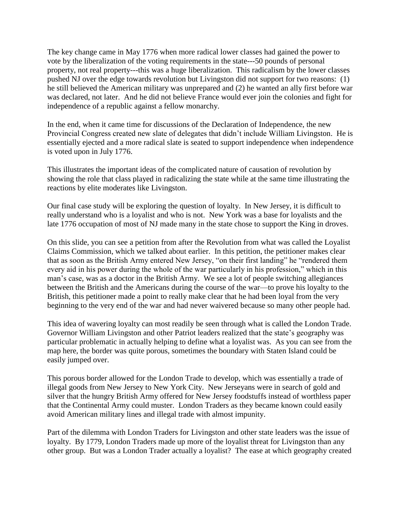The key change came in May 1776 when more radical lower classes had gained the power to vote by the liberalization of the voting requirements in the state---50 pounds of personal property, not real property---this was a huge liberalization. This radicalism by the lower classes pushed NJ over the edge towards revolution but Livingston did not support for two reasons: (1) he still believed the American military was unprepared and (2) he wanted an ally first before war was declared, not later. And he did not believe France would ever join the colonies and fight for independence of a republic against a fellow monarchy.

In the end, when it came time for discussions of the Declaration of Independence, the new Provincial Congress created new slate of delegates that didn't include William Livingston. He is essentially ejected and a more radical slate is seated to support independence when independence is voted upon in July 1776.

This illustrates the important ideas of the complicated nature of causation of revolution by showing the role that class played in radicalizing the state while at the same time illustrating the reactions by elite moderates like Livingston.

Our final case study will be exploring the question of loyalty. In New Jersey, it is difficult to really understand who is a loyalist and who is not. New York was a base for loyalists and the late 1776 occupation of most of NJ made many in the state chose to support the King in droves.

On this slide, you can see a petition from after the Revolution from what was called the Loyalist Claims Commission, which we talked about earlier. In this petition, the petitioner makes clear that as soon as the British Army entered New Jersey, "on their first landing" he "rendered them every aid in his power during the whole of the war particularly in his profession," which in this man's case, was as a doctor in the British Army. We see a lot of people switching allegiances between the British and the Americans during the course of the war—to prove his loyalty to the British, this petitioner made a point to really make clear that he had been loyal from the very beginning to the very end of the war and had never waivered because so many other people had.

This idea of wavering loyalty can most readily be seen through what is called the London Trade. Governor William Livingston and other Patriot leaders realized that the state's geography was particular problematic in actually helping to define what a loyalist was. As you can see from the map here, the border was quite porous, sometimes the boundary with Staten Island could be easily jumped over.

This porous border allowed for the London Trade to develop, which was essentially a trade of illegal goods from New Jersey to New York City. New Jerseyans were in search of gold and silver that the hungry British Army offered for New Jersey foodstuffs instead of worthless paper that the Continental Army could muster. London Traders as they became known could easily avoid American military lines and illegal trade with almost impunity.

Part of the dilemma with London Traders for Livingston and other state leaders was the issue of loyalty. By 1779, London Traders made up more of the loyalist threat for Livingston than any other group. But was a London Trader actually a loyalist? The ease at which geography created